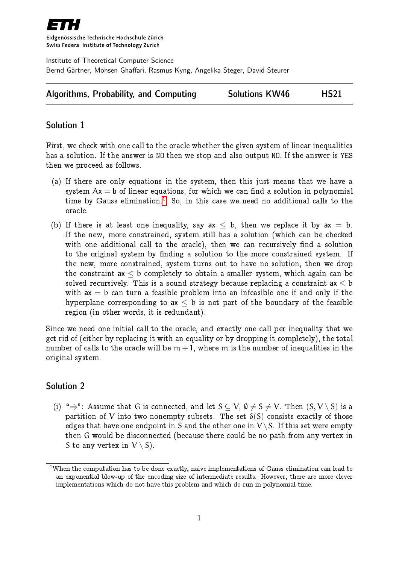

Eidgenössische Technische Hochschule Zürich Swiss Federal Institute of Technology Zurich

Institute of Theoretical Computer Science Bernd Gärtner, Mohsen Ghaffari, Rasmus Kyng, Angelika Steger, David Steurer

| <b>Algorithms, Probability, and Computing</b> | <b>Solutions KW46</b> | <b>HS21</b> |
|-----------------------------------------------|-----------------------|-------------|
|-----------------------------------------------|-----------------------|-------------|

## Solution 1

First, we check with one call to the oracle whether the given system of linear inequalities has a solution. If the answer is NO then we stop and also output NO. If the answer is YES then we proceed as follows.

- (a) If there are only equations in the system, then this just means that we have a system  $Ax = b$  of linear equations, for which we can find a solution in polynomial time by Gauss elimination.<sup>[1](#page-0-0)</sup> So, in this case we need no additional calls to the oracle.
- (b) If there is at least one inequality, say  $ax < b$ , then we replace it by  $ax = b$ . If the new, more constrained, system still has a solution (which can be checked with one additional call to the oracle), then we can recursively find a solution to the original system by finding a solution to the more constrained system. If the new, more constrained, system turns out to have no solution, then we drop the constraint  $ax < b$  completely to obtain a smaller system, which again can be solved recursively. This is a sound strategy because replacing a constraint  $ax < b$ with  $ax = b$  can turn a feasible problem into an infeasible one if and only if the hyperplane corresponding to  $ax < b$  is not part of the boundary of the feasible region (in other words, it is redundant).

Since we need one initial call to the oracle, and exactly one call per inequality that we get rid of (either by replacing it with an equality or by dropping it completely), the total number of calls to the oracle will be  $m + 1$ , where m is the number of inequalities in the original system.

## Solution 2

(i) " $\Rightarrow$ ": Assume that G is connected, and let  $S \subset V$ ,  $\emptyset \neq S \neq V$ . Then  $(S, V \setminus S)$  is a partition of V into two nonempty subsets. The set  $\delta(S)$  consists exactly of those edges that have one endpoint in S and the other one in  $V \setminus S$ . If this set were empty then G would be disconnected (because there could be no path from any vertex in S to any vertex in  $V \setminus S$ ).

<span id="page-0-0"></span><sup>&</sup>lt;sup>1</sup>When the computation has to be done exactly, naive implementations of Gauss elimination can lead to an exponential blow-up of the encoding size of intermediate results. However, there are more clever implementations which do not have this problem and which do run in polynomial time.